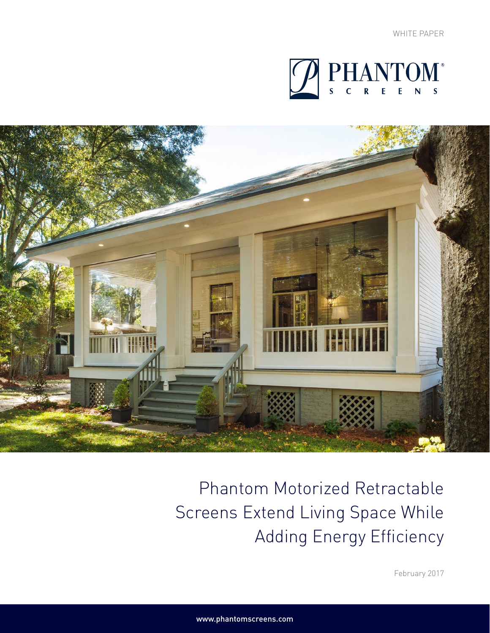



Phantom Motorized Retractable Screens Extend Living Space While Adding Energy Efficiency

February 2017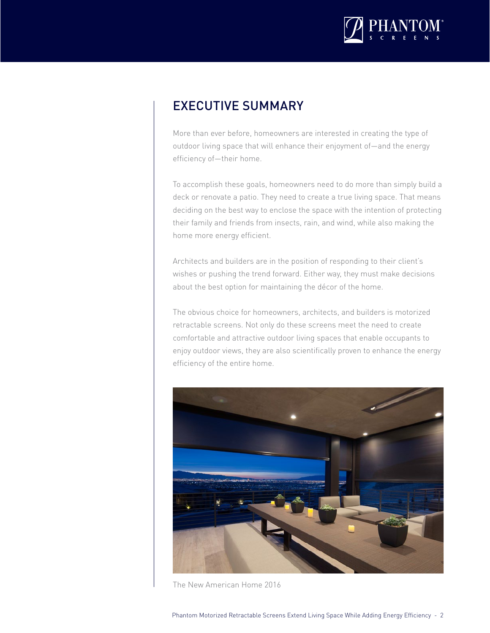

### EXECUTIVE SUMMARY

More than ever before, homeowners are interested in creating the type of outdoor living space that will enhance their enjoyment of—and the energy efficiency of—their home.

To accomplish these goals, homeowners need to do more than simply build a deck or renovate a patio. They need to create a true living space. That means deciding on the best way to enclose the space with the intention of protecting their family and friends from insects, rain, and wind, while also making the home more energy efficient.

Architects and builders are in the position of responding to their client's wishes or pushing the trend forward. Either way, they must make decisions about the best option for maintaining the décor of the home.

The obvious choice for homeowners, architects, and builders is motorized retractable screens. Not only do these screens meet the need to create comfortable and attractive outdoor living spaces that enable occupants to enjoy outdoor views, they are also scientifically proven to enhance the energy efficiency of the entire home.



The New American Home 2016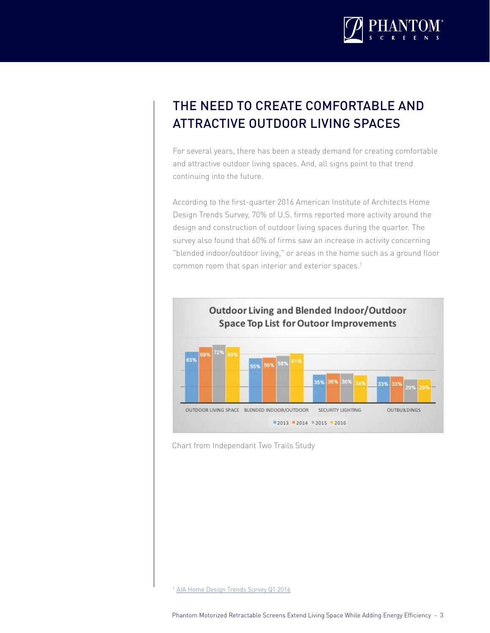

# THE NEED TO CREATE COMFORTABLE AND ATTRACTIVE OUTDOOR LIVING SPACES

For several years, there has been a steady demand for creating comfortable and attractive outdoor living spaces. And, all signs point to that trend continuing into the future.

According to the first-quarter 2016 American Institute of Architects Home Design Trends Survey, 70% of U.S. firms reported more activity around the design and construction of outdoor living spaces during the quarter. The survey also found that 60% of firms saw an increase in activity concerning "blended indoor/outdoor living," or areas in the home such as a ground floor common room that span interior and exterior spaces.<sup>1</sup>



Chart from Independant Two Trails Study

<sup>1</sup> [AIA Home Design Trends Survey Q1 2016](http://info.aia.org/AIArchitect/2016/0617/aia-interactive/index.html#!)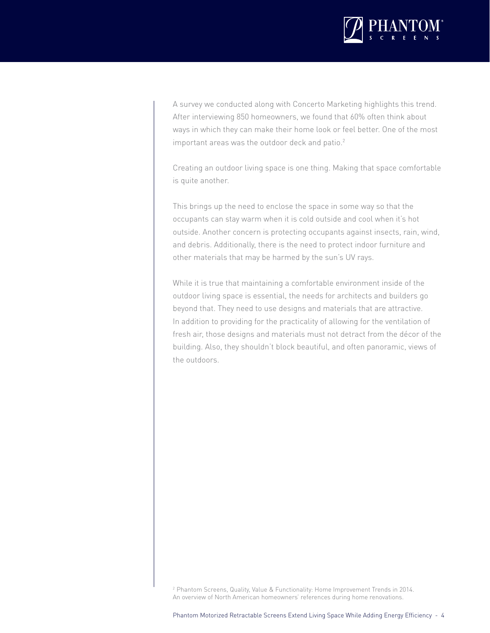

A survey we conducted along with Concerto Marketing highlights this trend. After interviewing 850 homeowners, we found that 60% often think about ways in which they can make their home look or feel better. One of the most important areas was the outdoor deck and patio. $2$ 

Creating an outdoor living space is one thing. Making that space comfortable is quite another.

This brings up the need to enclose the space in some way so that the occupants can stay warm when it is cold outside and cool when it's hot outside. Another concern is protecting occupants against insects, rain, wind, and debris. Additionally, there is the need to protect indoor furniture and other materials that may be harmed by the sun's UV rays.

While it is true that maintaining a comfortable environment inside of the outdoor living space is essential, the needs for architects and builders go beyond that. They need to use designs and materials that are attractive. In addition to providing for the practicality of allowing for the ventilation of fresh air, those designs and materials must not detract from the décor of the building. Also, they shouldn't block beautiful, and often panoramic, views of the outdoors.

<sup>2</sup> Phantom Screens, Quality, Value & Functionality: Home Improvement Trends in 2014. An overview of North American homeowners' references during home renovations.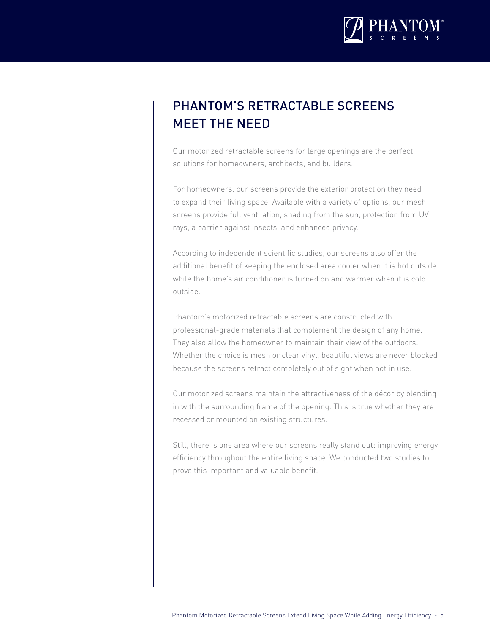

# PHANTOM'S RETRACTABLE SCREENS MEET THE NEED

Our motorized retractable screens for large openings are the perfect solutions for homeowners, architects, and builders.

For homeowners, our screens provide the exterior protection they need to expand their living space. Available with a variety of options, our mesh screens provide full ventilation, shading from the sun, protection from UV rays, a barrier against insects, and enhanced privacy.

According to independent scientific studies, our screens also offer the additional benefit of keeping the enclosed area cooler when it is hot outside while the home's air conditioner is turned on and warmer when it is cold outside.

Phantom's motorized retractable screens are constructed with professional-grade materials that complement the design of any home. They also allow the homeowner to maintain their view of the outdoors. Whether the choice is mesh or clear vinyl, beautiful views are never blocked because the screens retract completely out of sight when not in use.

Our motorized screens maintain the attractiveness of the décor by blending in with the surrounding frame of the opening. This is true whether they are recessed or mounted on existing structures.

Still, there is one area where our screens really stand out: improving energy efficiency throughout the entire living space. We conducted two studies to prove this important and valuable benefit.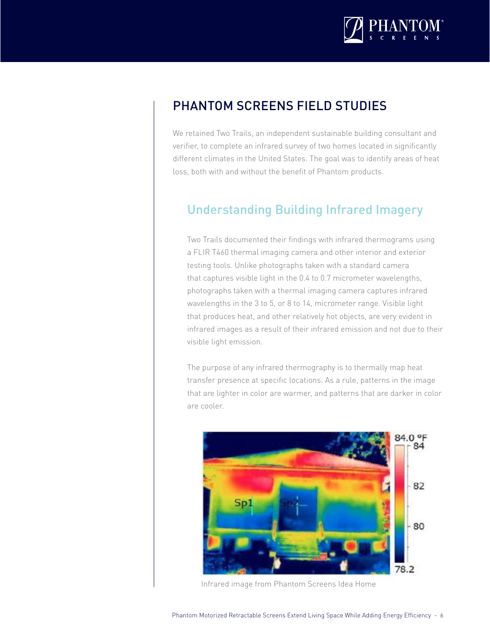

### PHANTOM SCREENS FIELD STUDIES

We retained Two Trails, an independent sustainable building consultant and verifier, to complete an infrared survey of two homes located in significantly different climates in the United States. The goal was to identify areas of heat loss, both with and without the benefit of Phantom products.

#### Understanding Building Infrared Imagery

Two Trails documented their findings with infrared thermograms using a FLIR T460 thermal imaging camera and other interior and exterior testing tools. Unlike photographs taken with a standard camera that captures visible light in the 0.4 to 0.7 micrometer wavelengths, photographs taken with a thermal imaging camera captures infrared wavelengths in the 3 to 5, or 8 to 14, micrometer range. Visible light that produces heat, and other relatively hot objects, are very evident in infrared images as a result of their infrared emission and not due to their visible light emission.

The purpose of any infrared thermography is to thermally map heat transfer presence at specific locations. As a rule, patterns in the image that are lighter in color are warmer, and patterns that are darker in color are cooler.



Infrared image from Phantom Screens Idea Home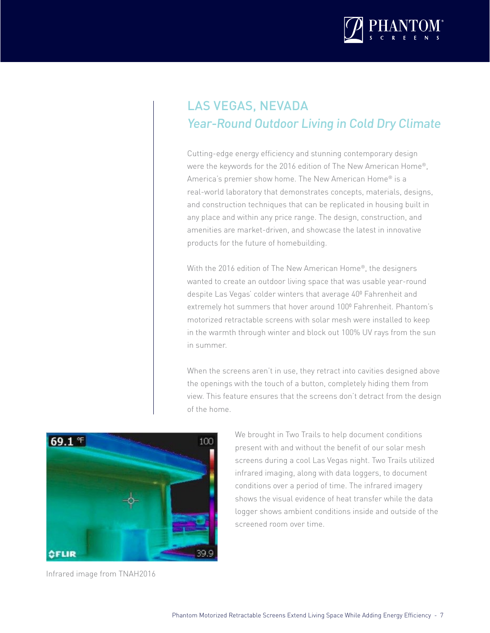

## LAS VEGAS, NEVADA Year-Round Outdoor Living in Cold Dry Climate

Cutting-edge energy efficiency and stunning contemporary design were the keywords for the 2016 edition of The New American Home®, America's premier show home. The New American Home® is a real-world laboratory that demonstrates concepts, materials, designs, and construction techniques that can be replicated in housing built in any place and within any price range. The design, construction, and amenities are market-driven, and showcase the latest in innovative products for the future of homebuilding.

With the 2016 edition of The New American Home®, the designers wanted to create an outdoor living space that was usable year-round despite Las Vegas' colder winters that average 400 Fahrenheit and extremely hot summers that hover around 100º Fahrenheit. Phantom's motorized retractable screens with solar mesh were installed to keep in the warmth through winter and block out 100% UV rays from the sun in summer.

When the screens aren't in use, they retract into cavities designed above the openings with the touch of a button, completely hiding them from view. This feature ensures that the screens don't detract from the design of the home.



Infrared image from TNAH2016

We brought in Two Trails to help document conditions present with and without the benefit of our solar mesh screens during a cool Las Vegas night. Two Trails utilized infrared imaging, along with data loggers, to document conditions over a period of time. The infrared imagery shows the visual evidence of heat transfer while the data logger shows ambient conditions inside and outside of the screened room over time.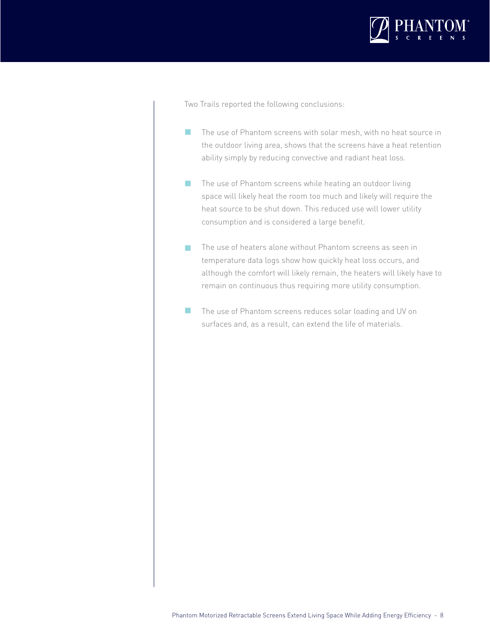

Two Trails reported the following conclusions:

- The use of Phantom screens with solar mesh, with no heat source in the outdoor living area, shows that the screens have a heat retention ability simply by reducing convective and radiant heat loss.  $\overline{\phantom{a}}$
- The use of Phantom screens while heating an outdoor living space will likely heat the room too much and likely will require the heat source to be shut down. This reduced use will lower utility consumption and is considered a large benefit.  $\overline{\phantom{a}}$
- The use of heaters alone without Phantom screens as seen in temperature data logs show how quickly heat loss occurs, and although the comfort will likely remain, the heaters will likely have to remain on continuous thus requiring more utility consumption. п
- The use of Phantom screens reduces solar loading and UV on surfaces and, as a result, can extend the life of materials.  $\mathcal{L}_{\mathcal{A}}$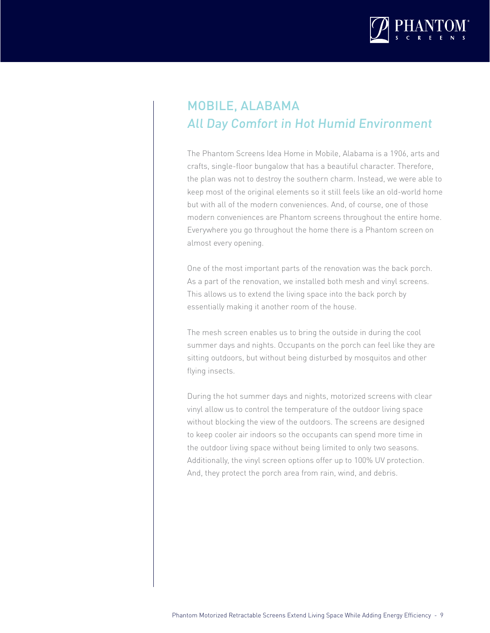

### MOBILE, ALABAMA All Day Comfort in Hot Humid Environment

The Phantom Screens Idea Home in Mobile, Alabama is a 1906, arts and crafts, single-floor bungalow that has a beautiful character. Therefore, the plan was not to destroy the southern charm. Instead, we were able to keep most of the original elements so it still feels like an old-world home but with all of the modern conveniences. And, of course, one of those modern conveniences are Phantom screens throughout the entire home. Everywhere you go throughout the home there is a Phantom screen on almost every opening.

One of the most important parts of the renovation was the back porch. As a part of the renovation, we installed both mesh and vinyl screens. This allows us to extend the living space into the back porch by essentially making it another room of the house.

The mesh screen enables us to bring the outside in during the cool summer days and nights. Occupants on the porch can feel like they are sitting outdoors, but without being disturbed by mosquitos and other flying insects.

During the hot summer days and nights, motorized screens with clear vinyl allow us to control the temperature of the outdoor living space without blocking the view of the outdoors. The screens are designed to keep cooler air indoors so the occupants can spend more time in the outdoor living space without being limited to only two seasons. Additionally, the vinyl screen options offer up to 100% UV protection. And, they protect the porch area from rain, wind, and debris.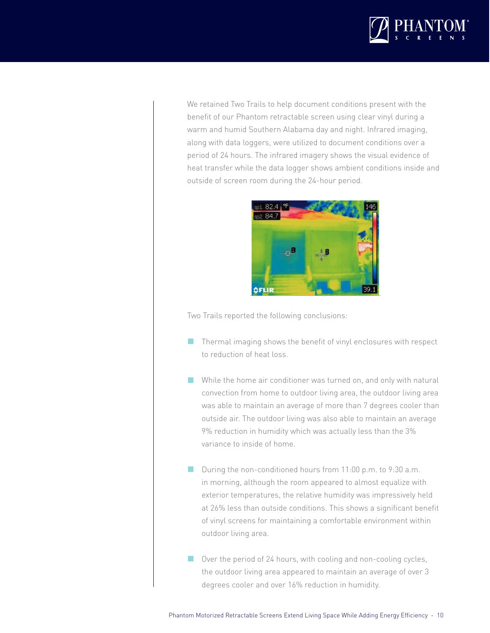

We retained Two Trails to help document conditions present with the benefit of our Phantom retractable screen using clear vinyl during a warm and humid Southern Alabama day and night. Infrared imaging, along with data loggers, were utilized to document conditions over a period of 24 hours. The infrared imagery shows the visual evidence of heat transfer while the data logger shows ambient conditions inside and outside of screen room during the 24-hour period.



Two Trails reported the following conclusions:

- $\blacksquare$  Thermal imaging shows the benefit of vinyl enclosures with respect to reduction of heat loss.
- While the home air conditioner was turned on, and only with natural convection from home to outdoor living area, the outdoor living area was able to maintain an average of more than 7 degrees cooler than outside air. The outdoor living was also able to maintain an average 9% reduction in humidity which was actually less than the 3% variance to inside of home.
- During the non-conditioned hours from 11:00 p.m. to 9:30 a.m. in morning, although the room appeared to almost equalize with exterior temperatures, the relative humidity was impressively held at 26% less than outside conditions. This shows a significant benefit of vinyl screens for maintaining a comfortable environment within outdoor living area.
- Over the period of 24 hours, with cooling and non-cooling cycles, the outdoor living area appeared to maintain an average of over 3 degrees cooler and over 16% reduction in humidity.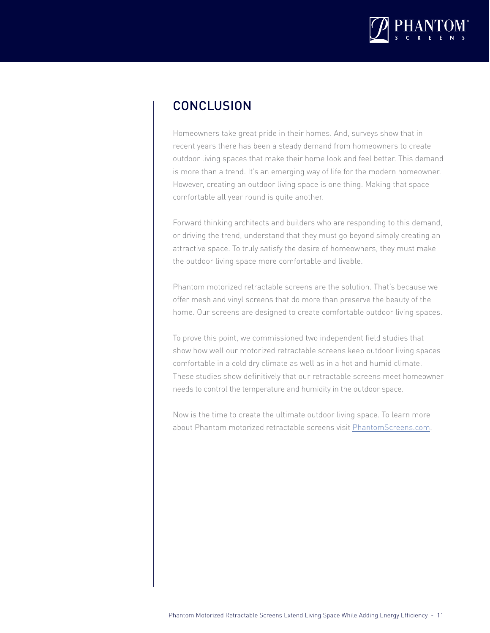

#### **CONCLUSION**

Homeowners take great pride in their homes. And, surveys show that in recent years there has been a steady demand from homeowners to create outdoor living spaces that make their home look and feel better. This demand is more than a trend. It's an emerging way of life for the modern homeowner. However, creating an outdoor living space is one thing. Making that space comfortable all year round is quite another.

Forward thinking architects and builders who are responding to this demand, or driving the trend, understand that they must go beyond simply creating an attractive space. To truly satisfy the desire of homeowners, they must make the outdoor living space more comfortable and livable.

Phantom motorized retractable screens are the solution. That's because we offer mesh and vinyl screens that do more than preserve the beauty of the home. Our screens are designed to create comfortable outdoor living spaces.

To prove this point, we commissioned two independent field studies that show how well our motorized retractable screens keep outdoor living spaces comfortable in a cold dry climate as well as in a hot and humid climate. These studies show definitively that our retractable screens meet homeowner needs to control the temperature and humidity in the outdoor space.

Now is the time to create the ultimate outdoor living space. To learn more about Phantom motorized retractable screens visit [PhantomScreens.com.](http://www.phantomscreens.com)